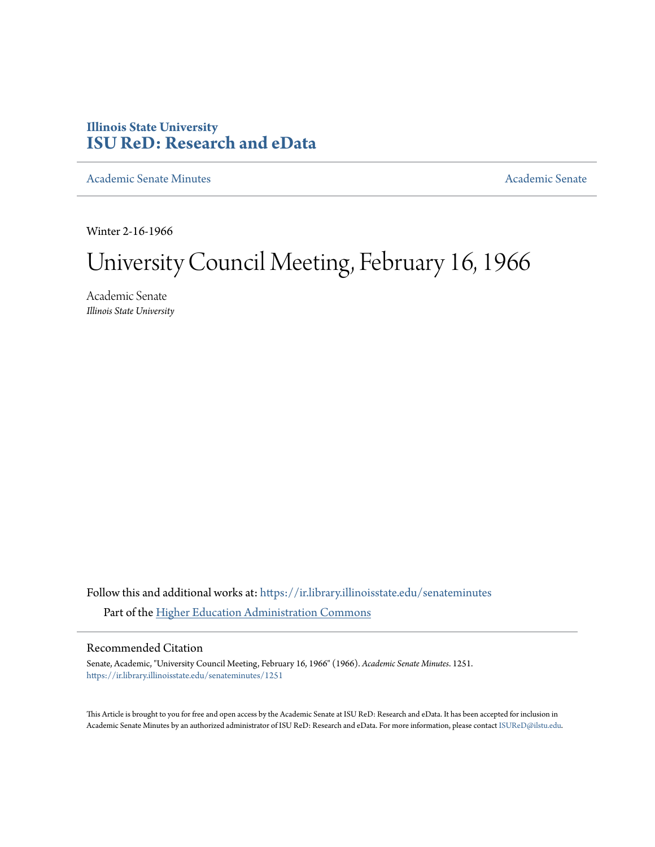# **Illinois State University [ISU ReD: Research and eData](https://ir.library.illinoisstate.edu?utm_source=ir.library.illinoisstate.edu%2Fsenateminutes%2F1251&utm_medium=PDF&utm_campaign=PDFCoverPages)**

[Academic Senate Minutes](https://ir.library.illinoisstate.edu/senateminutes?utm_source=ir.library.illinoisstate.edu%2Fsenateminutes%2F1251&utm_medium=PDF&utm_campaign=PDFCoverPages) [Academic Senate](https://ir.library.illinoisstate.edu/senate?utm_source=ir.library.illinoisstate.edu%2Fsenateminutes%2F1251&utm_medium=PDF&utm_campaign=PDFCoverPages) Academic Senate

Winter 2-16-1966

# University Council Meeting, February 16, 1966

Academic Senate *Illinois State University*

Follow this and additional works at: [https://ir.library.illinoisstate.edu/senateminutes](https://ir.library.illinoisstate.edu/senateminutes?utm_source=ir.library.illinoisstate.edu%2Fsenateminutes%2F1251&utm_medium=PDF&utm_campaign=PDFCoverPages) Part of the [Higher Education Administration Commons](http://network.bepress.com/hgg/discipline/791?utm_source=ir.library.illinoisstate.edu%2Fsenateminutes%2F1251&utm_medium=PDF&utm_campaign=PDFCoverPages)

## Recommended Citation

Senate, Academic, "University Council Meeting, February 16, 1966" (1966). *Academic Senate Minutes*. 1251. [https://ir.library.illinoisstate.edu/senateminutes/1251](https://ir.library.illinoisstate.edu/senateminutes/1251?utm_source=ir.library.illinoisstate.edu%2Fsenateminutes%2F1251&utm_medium=PDF&utm_campaign=PDFCoverPages)

This Article is brought to you for free and open access by the Academic Senate at ISU ReD: Research and eData. It has been accepted for inclusion in Academic Senate Minutes by an authorized administrator of ISU ReD: Research and eData. For more information, please contact [ISUReD@ilstu.edu.](mailto:ISUReD@ilstu.edu)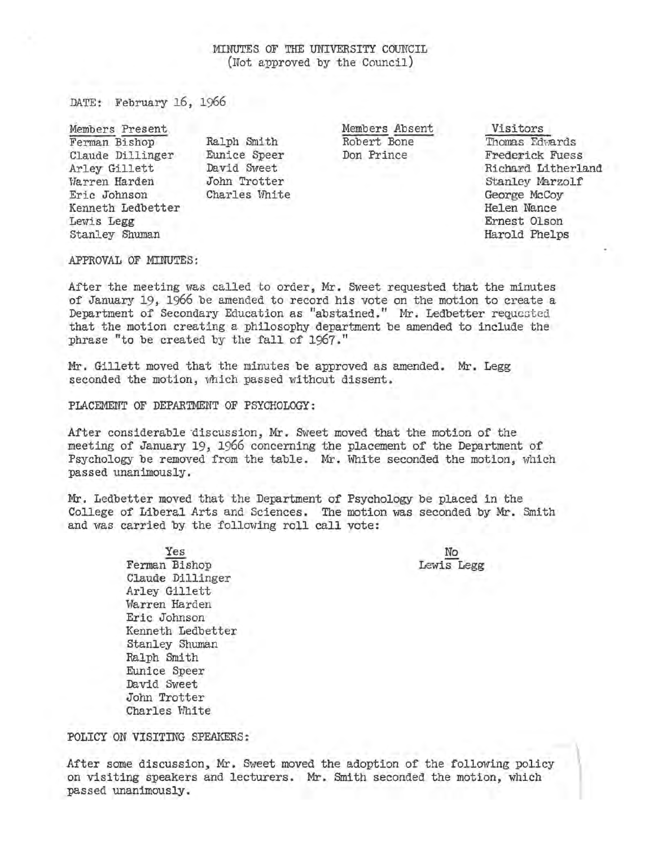# MINUTES OF THE UNIVERSITY COUNCIL (Not approved by the Council)

DATE: February 16, 1966

Ferman Bishop Claude Dillinger Arley Gillett Warren Harden Eric Johnson Kenneth Ledbetter Lewis Legg Stanley Shuman

Ralph Smith Eunice Speer David Sweet John Trotter Charles White

Members Present **Members** Absent **Visitors** Members Absent Robert Bone Don Prince

Thomas Edwards Frederick Fuess Richard Litherland Stanley Marzolf George McCoy Helen Nance Ernest Olson Harold Phelps

#### APPROVAL OF MINUTES:

After the meeting was called to order, Mr. Sweet requested that the minutes of January 19, 1966 be amended to record his vote on the motion to create a Department of Secondary Education as "abstained." Mr. Ledbetter requested that the motion creating a philosophy department be amended to include the phrase "to be created by the fall of 1967."

Mr. Gillett moved that the minutes be approved as amended. Mr. Legg seconded the motion, which passed without dissent.

PLACEMENT OF DEPARTMENT OF PSYCHOLOGY:

After considerable discussion, Mr. Sweet moved that the motion of the meeting of January 19, 1966 concerning the placement of the Department of Psychology be removed from the table. Mr. White seconded the motion, which passed unanimously.

Mr. Ledbetter moved that the Department of Psychology be placed in the College of Liberal Arts and Sciences. The motion was seconded by Mr. Smith and was carried by the following roll call vote:

> No Lewis Legg

Yes Ferman Bishop Claude Dillinger Arley Gillett Warren Harden Eric Johnson Kenneth Ledbetter Stanley Shuman Ralph Smith Eunice Speer David Sweet John Trotter Charles White

POLICY ON VISITING SPEAKERS:

After some discussion, Mr. Sweet moved the adoption of the following policy<br>on visiting speakers and lecturers. Mr. Smith seconded the motion, which<br>passed unanimously. on visiting speakers and lecturers. Mr. Smith seconded the motion, which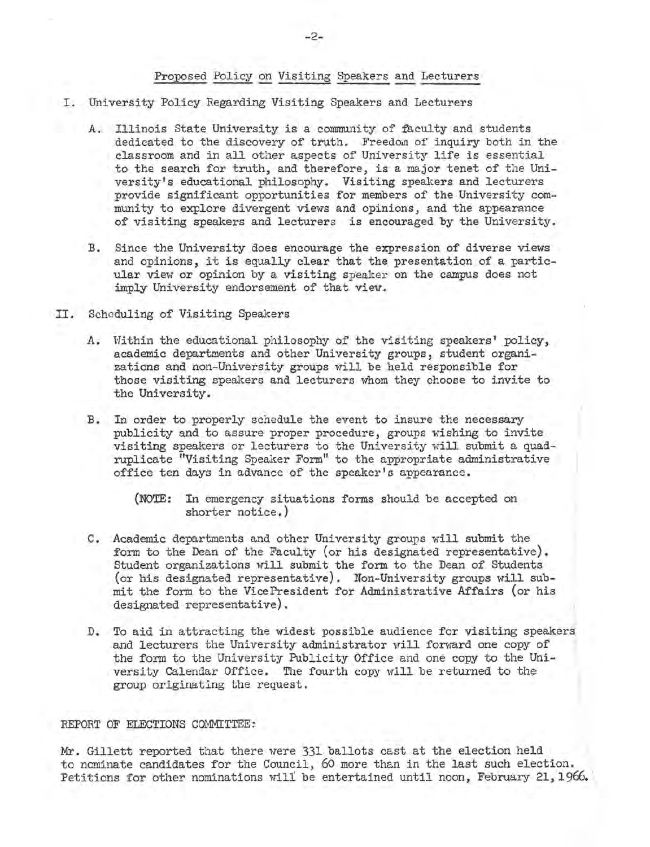### Proposed Policy on Visiting Speakers and Lecturers

- I. University Policy Regarding Visiting Speakers and Lecturers
	- A. Illinois State University is a community of faculty and students 'dedicated to the discovery of truth. Freedom of inquiry both in the classroom and in all other aspects of University life is essential to the search for truth, and therefore, is a major tenet of the University's educational philosophy. Visiting speakers and lecturers provide significant opportunities for members of the University community to explore divergent views and opinions, and the appearance of visiting speakers and lecturers is encouraged by the University.
	- B. Since the University does encourage the expression of diverse views and opinions, it is equally clear that the presentation of a particular view or opinion by a visiting speaker on the campus does not imply University endorsement of that view.
- II. Scheduling of Visiting Speakers
	- A. Within the educational philosophy of the visiting speakers' policy, academic departments and other University groups, student organizations and non-University groups will be held responsible for those visiting speakers and lecturers whom they choose to invite to the University.
	- B. In order to properly schedule the event to insure the necessary publicity and to assure proper procedure, groups wishing to invite visiting speakers or lecturers to the University will submit a quadruplicate "Visiting Speaker Form" to the appropriate administrative office ten days in advance of the speaker's appearance.

- c. Academic departments and other University groups will submit the form to the Dean of the Faculty (or his designated representative). Student organizations will submit the form to the Dean of Students (or his designated representative). Non-University groups will submit the form to the VicePresident for Administrative Affairs (or his designated representative).
- D. To aid in attracting the widest possible audience for visiting speakers and lecturers the University administrator will forward one copy of the form to the University Publicity Office and one copy to the University Calendar Office. The fourth copy will be returned to the group originating the request.

#### REPORT OF ELECTIONS COMMITTEE:

Mr. Gillett reported that there were 331 ballots cast at the election held to nominate candidates for the Council, 60 more than in the last such election. Petitions for other nominations will be entertained until noon, February 21,1966.

<sup>(</sup>NOTE: In emergency situations forms should be accepted on shorter notice.)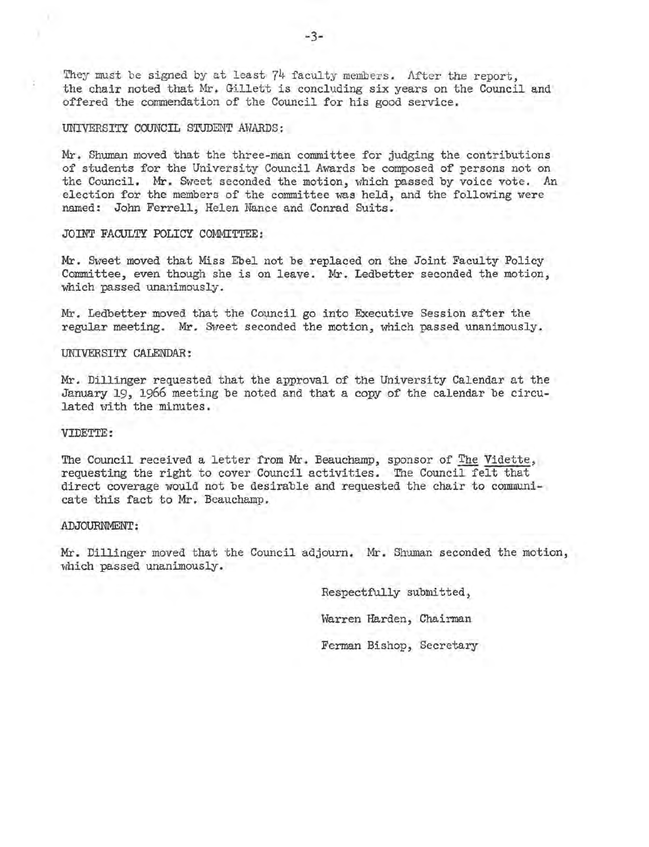They must be signed by at least  $74$  faculty members. After the report, the chair noted that Mr. Gillett is concluding six years on the Council and offered the commendation of the Council for his good service.

#### UNIVERSITY COUNCIL STUDENT AWARDS:

Mr. Shuman moved that the three-man committee for judging the contributions of students for the University Council Awards be composed of persons not on the Council. Mr. Sweet seconded the motion, which passed by voice vote. An election for the members of the committee was held, and the following were named: John Ferrell, Helen Nance and Conrad Suits.

#### JOINT FACULTY POLICY COMMITTEE:

Mr. Sweet moved that Miss Ebel not be replaced on the Joint Faculty Policy Committee, even though she is on leave. Mr. Ledbetter seconded the motion, which passed unanimously.

Mr. Ledbetter moved that the Council go into Executive Session after the regular meeting. Mr. Sweet seconded the motion, which passed unanimously.

#### UNIVERSITY CALENDAR:

Mr. Dillinger requested that the approval of the University Calendar at the January 19, 1966 meeting be noted and that a copy of the calendar be circulated with the minutes.

#### VIDETTE:

The Council received a letter from Mr. Beauchamp, sponsor of The Vidette, requesting the right to cover Council activities. The Council felt that direct coverage would not be desirable and requested the chair to communicate this fact to Mr. Beauchamp.

#### ADJOURNMENT:

Mr. Dillinger moved that the Council adjourn. Mr. Shuman seconded the motion, which passed unanimously.

> Respectfully submitted, Warren Harden, Chairman Ferman Bishop, Secretary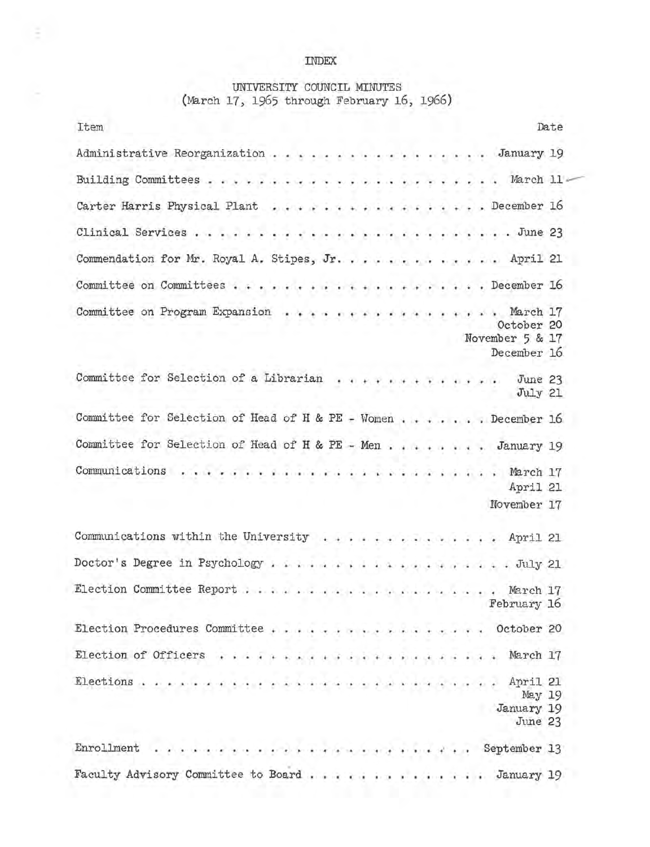# INDEX

E.

# UNIVERSITY COUNCIL MINUTES (March 17, 1965 through February 16, 1966)

| Item                                                          |              | Date                                        |
|---------------------------------------------------------------|--------------|---------------------------------------------|
| Administrative Reorganization January 19                      |              |                                             |
|                                                               |              |                                             |
| Carter Harris Physical Plant December 16                      |              |                                             |
|                                                               |              |                                             |
| Commendation for Mr. Royal A. Stipes, Jr. April 21            |              |                                             |
|                                                               |              |                                             |
| Committee on Program Expansion                                | . March 17   | October 20                                  |
|                                                               |              | November 5 & 17<br>December 16              |
| Committee for Selection of a Librarian June 23                |              | July 21                                     |
| Committee for Selection of Head of H & PE - Women December 16 |              |                                             |
| Committee for Selection of Head of H & PE - Men January 19    |              |                                             |
| Communications                                                |              | April 21<br>November 17                     |
| Communications within the University April 21                 |              |                                             |
| Doctor's Degree in Psychology July 21                         |              |                                             |
|                                                               |              | February 16                                 |
| Election Procedures Committee                                 | 1.14.14.16.1 | $\ldots$ October 20                         |
| Election of Officers                                          |              | March 17<br>$\ddot{\bullet}$                |
| Elections<br>Anderes Internati                                |              | April 21<br>May 19<br>January 19<br>June 23 |
| Enrollment<br>de la caractería de la caractería               |              | September 13                                |
| Faculty Advisory Committee to Board                           |              | . January 19                                |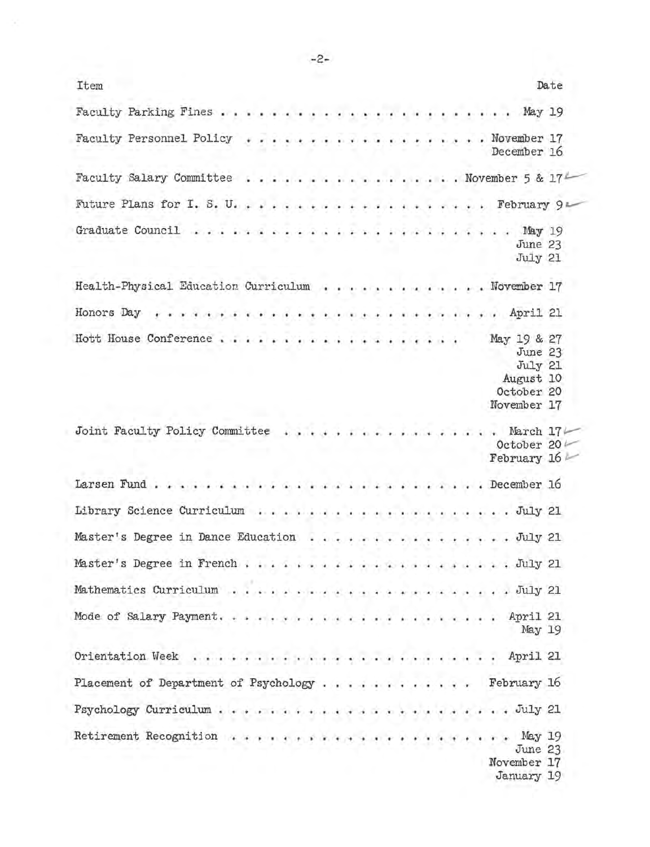| Item                                              |  |  |  |  |  |  |  |                                                              | Date |
|---------------------------------------------------|--|--|--|--|--|--|--|--------------------------------------------------------------|------|
|                                                   |  |  |  |  |  |  |  |                                                              |      |
| Faculty Personnel Policy November 17              |  |  |  |  |  |  |  | December 16                                                  |      |
| Faculty Salary Committee November 5 & 174         |  |  |  |  |  |  |  |                                                              |      |
|                                                   |  |  |  |  |  |  |  |                                                              |      |
|                                                   |  |  |  |  |  |  |  | June 23<br>July 21                                           |      |
| Health-Physical Education Curriculum November 17  |  |  |  |  |  |  |  |                                                              |      |
|                                                   |  |  |  |  |  |  |  |                                                              |      |
| Hott House Conference May 19 & 27                 |  |  |  |  |  |  |  | June 23<br>July 21<br>August 10<br>October 20<br>November 17 |      |
| Joint Faculty Policy Committee March $17$         |  |  |  |  |  |  |  | October 20<br>February 16                                    |      |
| Larsen FundDecember 16                            |  |  |  |  |  |  |  |                                                              |      |
|                                                   |  |  |  |  |  |  |  |                                                              |      |
| Master's Degree in Dance Education July 21        |  |  |  |  |  |  |  |                                                              |      |
|                                                   |  |  |  |  |  |  |  |                                                              |      |
|                                                   |  |  |  |  |  |  |  |                                                              |      |
|                                                   |  |  |  |  |  |  |  | May 19                                                       |      |
|                                                   |  |  |  |  |  |  |  |                                                              |      |
| Placement of Department of Psychology February 16 |  |  |  |  |  |  |  |                                                              |      |
| Psychology Curriculum                             |  |  |  |  |  |  |  | . July 21                                                    |      |
|                                                   |  |  |  |  |  |  |  | $\ldots$ May 19<br>June 23<br>November 17<br>January 19      |      |